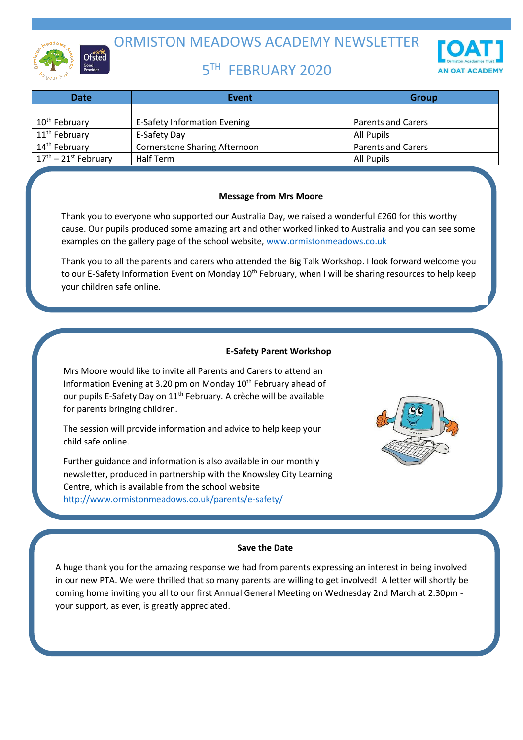

ORMISTON MEADOWS ACADEMY NEWSLETTER

# 5 TH FEBRUARY 2020



| <b>Date</b>               | Event                                | <b>Group</b>              |
|---------------------------|--------------------------------------|---------------------------|
|                           |                                      |                           |
| 10 <sup>th</sup> February | <b>E-Safety Information Evening</b>  | <b>Parents and Carers</b> |
| 11 <sup>th</sup> February | E-Safety Day                         | All Pupils                |
| 14 <sup>th</sup> February | <b>Cornerstone Sharing Afternoon</b> | <b>Parents and Carers</b> |
| $17th - 21st$ February    | Half Term                            | All Pupils                |

# **Message from Mrs Moore**

Thank you to everyone who supported our Australia Day, we raised a wonderful £260 for this worthy cause. Our pupils produced some amazing art and other worked linked to Australia and you can see some examples on the gallery page of the school website, [www.ormistonmeadows.co.uk](http://www.ormistonmeadows.co.uk/)

Thank you to all the parents and carers who attended the Big Talk Workshop. I look forward welcome you to our E-Safety Information Event on Monday 10<sup>th</sup> February, when I will be sharing resources to help keep your children safe online.

# **E-Safety Parent Workshop**

Mrs Moore would like to invite all Parents and Carers to attend an Information Evening at 3.20 pm on Monday 10<sup>th</sup> February ahead of our pupils E-Safety Day on 11<sup>th</sup> February. A crèche will be available for parents bringing children.

The session will provide information and advice to help keep your child safe online.

Further guidance and information is also available in our monthly newsletter, produced in partnership with the Knowsley City Learning Centre, which is available from the school website <http://www.ormistonmeadows.co.uk/parents/e-safety/>



#### **Save the Date**

A huge thank you for the amazing response we had from parents expressing an interest in being involved in our new PTA. We were thrilled that so many parents are willing to get involved! A letter will shortly be coming home inviting you all to our first Annual General Meeting on Wednesday 2nd March at 2.30pm your support, as ever, is greatly appreciated.